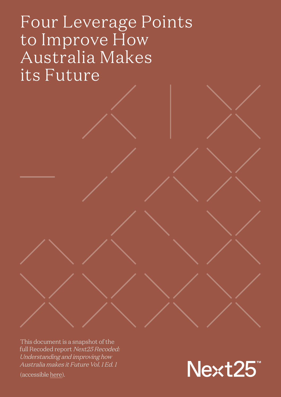### Four Leverage Points to Improve How Australia Makes its Future

This document is a snapshot of the full Recoded report Next25 Recoded: Understanding and improving how Australia makes it Future Vol. 1 Ed. 1

(accessible [here](http://files.next25.org.au/Next25_Recoded_Report_V1E1.pdf)).

Next25™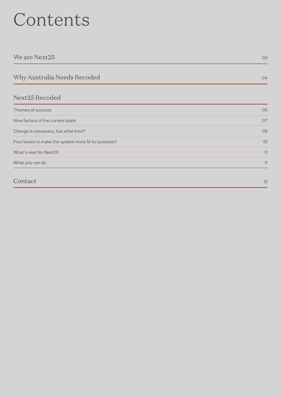## Contents

| We are Next25                                        | 03 |
|------------------------------------------------------|----|
| Why Australia Needs Recoded                          | 04 |
| Next25 Recoded                                       |    |
| Themes of success                                    | 05 |
| Nine factors of the current state                    | 07 |
| Change is necessary, but what kind?                  | 09 |
| Four levers to make the system more fit for purpose? | 10 |
| What's next for Next25                               | 11 |
| What you can do                                      | 11 |
| Contact                                              | 12 |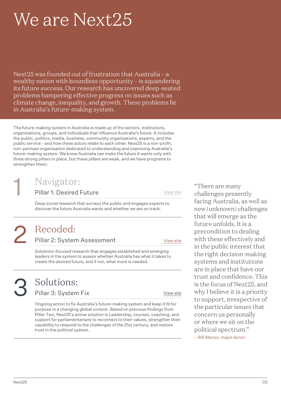## <span id="page-2-0"></span>We are Next25

Next25 was founded out of frustration that Australia – a wealthy nation with boundless opportunity – is squandering its future success. Our research has uncovered deep-seated problems hampering effective progress on issues such as climate change, inequality, and growth. These problems lie in Australia's future-making system.

The future-making system in Australia is made up of the sectors, institutions, organisations, groups, and individuals that influence Australia's future. It includes the public, politics, media, business, community organisations, experts, and the public service - and how these actors relate to each other. Next25 is a non-profit, non-partisan organisation dedicated to understanding and improving Australia's future-making system. We know Australia can make the future it wants only with three strong pillars in place, but these pillars are weak, and we have programs to strengthen them:

### Navigator:

Pillar 1: Desired Future

[View site](https://www.next25.org.au/navigator)

Deep social research that surveys the public and engages experts to discover the future Australia wants and whether we are on track.

# 2

1

### Recoded:

Pillar 2: System Assessment

[View site](https://www.next25.org.au/recoded)

Solutions-focused research that engages established and emerging leaders in the system to assess whether Australia has what it takes to create the desired future, and if not, what more is needed.

# 3

### Solutions:

Pillar 3: System Fix

[View site](https://www.next25.org.au/leadership)

Ongoing action to fix Australia's future-making system and keep it fit for purpose in a changing global context. Based on previous findings from Pillar Two, Next25's active solution is Leadership, courses, coaching, and support for parliamentarians to reconnect to their values, strengthen their capability to respond to the challenges of the 21st century, and restore trust in the political system.

"There are many challenges presently facing Australia, as well as new (unknown) challenges that will emerge as the future unfolds. It is a precondition to dealing with these effectively and in the public interest that the right decision-making systems and institutions are in place that have our trust and confidence. This is the focus of Next25, and why I believe it is a priority to support, irrespective of the particular issues that concern us personally or where we sit on the political spectrum." – Bill Manos, major donor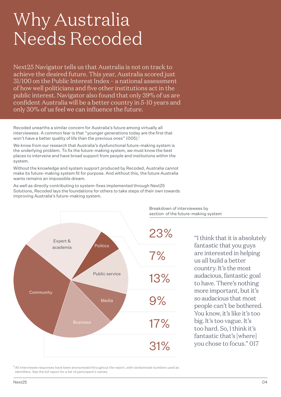### <span id="page-3-0"></span>Why Australia Needs Recoded

Next25 Navigator tells us that Australia is not on track to achieve the desired future. This year, Australia scored just 31/100 on the Public Interest Index – a national assessment of how well politicians and five other institutions act in the public interest. Navigator also found that only 39% of us are confident Australia will be a better country in 5-10 years and only 30% of us feel we can influence the future.

Recoded unearths a similar concern for Australia's future among virtually all interviewees. A common fear is that "younger generations today are the first that won't have a better quality of life than the previous ones" (005).<sup>1</sup>

We know from our research that Australia's dysfunctional future-making system is the underlying problem. To fix the future-making system, we must know the best places to intervene and have broad support from people and institutions within the system.

Without the knowledge and system support produced by Recoded, Australia cannot make its future-making system fit for purpose. And without this, the future Australia wants remains an impossible dream.

As well as directly contributing to system-fixes implemented through Next25 Solutions, Recoded lays the foundations for others to take steps of their own towards improving Australia's future-making system.



Breakdown of interviewees by section of the future-making system

> "I think that it is absolutely fantastic that you guys are interested in helping us all build a better country. It's the most audacious, fantastic goal to have. There's nothing more important, but it's so audacious that most people can't be bothered. You know, it's like it's too big. It's too vague. It's too hard. So, I think it's fantastic that's [where] you chose to focus." 017

<sup>1</sup> All interviewee responses have been anonymised throughout the report, with randomised numbers used as identifiers. See the full report for a list of participant's names.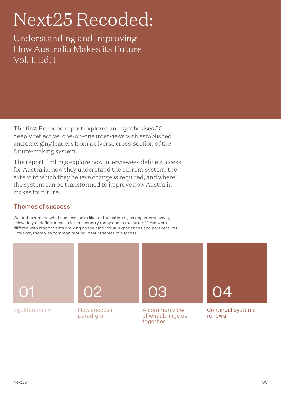## <span id="page-4-0"></span>Next25 Recoded:

Understanding and Improving How Australia Makes its Future Vol. 1. Ed. 1

The first Recoded report explores and synthesises 50 deeply reflective, one-on-one interviews with established and emerging leaders from a diverse cross-section of the future-making system.

The report findings explore how interviewees define success for Australia, how they understand the current system, the extent to which they believe change is required, and where the system can be transformed to improve how Australia makes its future.

#### Themes of success

We first examined what success looks like for the nation by asking interviewees, "How do you define success for the country today and in the future?" Answers differed with respondents drawing on their individual experiences and perspectives. However, there was common ground in four themes of success.

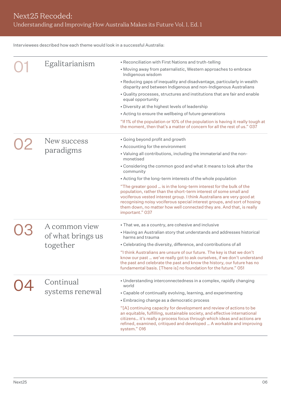Interviewees described how each theme would look in a successful Australia:

| • Reconciliation with First Nations and truth-telling<br>Egalitarianism<br>• Moving away from paternalistic, Western approaches to embrace<br>Indigenous wisdom<br>• Reducing gaps of inequality and disadvantage, particularly in wealth<br>disparity and between Indigenous and non-Indigenous Australians<br>. Quality processes, structures and institutions that are fair and enable<br>equal opportunity<br>• Diversity at the highest levels of leadership<br>• Acting to ensure the wellbeing of future generations<br>the moment, then that's a matter of concern for all the rest of us." 037<br>• Going beyond profit and growth<br>New success<br>• Accounting for the environment<br>paradigms<br>. Valuing all contributions, including the immaterial and the non-<br>monetised<br>• Considering the common good and what it means to look after the<br>community<br>• Acting for the long-term interests of the whole population<br>"The greater good  is in the long-term interest for the bulk of the<br>population, rather than the short-term interest of some small and<br>vociferous vested interest group. I think Australians are very good at<br>recognising noisy vociferous special interest groups, and sort of hosing<br>them down, no matter how well connected they are. And that, is really<br>important." 037<br>. That we, as a country, are cohesive and inclusive<br>A common view<br>• Having an Australian story that understands and addresses historical<br>of what brings us<br>harms and trauma<br>together<br>• Celebrating the diversity, difference, and contributions of all<br>"I think Australians are unsure of our future. The key is that we don't<br>the past and celebrate the past and know the history, our future has no<br>fundamental basis. [There is] no foundation for the future." 051<br>• Understanding interconnectedness in a complex, rapidly changing<br>Continual<br>world<br>systems renewal<br>• Capable of continually evolving, learning, and experimenting<br>• Embracing change as a democratic process<br>"[A] continuing capacity for development and review of actions to be<br>an equitable, fulfilling, sustainable society, and effective international<br>citizens it's really a process focus through which ideas and actions are<br>refined, examined, critiqued and developed  A workable and improving<br>system." 016 |  |  |                                                                                |
|--------------------------------------------------------------------------------------------------------------------------------------------------------------------------------------------------------------------------------------------------------------------------------------------------------------------------------------------------------------------------------------------------------------------------------------------------------------------------------------------------------------------------------------------------------------------------------------------------------------------------------------------------------------------------------------------------------------------------------------------------------------------------------------------------------------------------------------------------------------------------------------------------------------------------------------------------------------------------------------------------------------------------------------------------------------------------------------------------------------------------------------------------------------------------------------------------------------------------------------------------------------------------------------------------------------------------------------------------------------------------------------------------------------------------------------------------------------------------------------------------------------------------------------------------------------------------------------------------------------------------------------------------------------------------------------------------------------------------------------------------------------------------------------------------------------------------------------------------------------------------------------------------------------------------------------------------------------------------------------------------------------------------------------------------------------------------------------------------------------------------------------------------------------------------------------------------------------------------------------------------------------------------------------------------------------------------------------------------------------------------------------------------------------|--|--|--------------------------------------------------------------------------------|
|                                                                                                                                                                                                                                                                                                                                                                                                                                                                                                                                                                                                                                                                                                                                                                                                                                                                                                                                                                                                                                                                                                                                                                                                                                                                                                                                                                                                                                                                                                                                                                                                                                                                                                                                                                                                                                                                                                                                                                                                                                                                                                                                                                                                                                                                                                                                                                                                              |  |  |                                                                                |
|                                                                                                                                                                                                                                                                                                                                                                                                                                                                                                                                                                                                                                                                                                                                                                                                                                                                                                                                                                                                                                                                                                                                                                                                                                                                                                                                                                                                                                                                                                                                                                                                                                                                                                                                                                                                                                                                                                                                                                                                                                                                                                                                                                                                                                                                                                                                                                                                              |  |  |                                                                                |
|                                                                                                                                                                                                                                                                                                                                                                                                                                                                                                                                                                                                                                                                                                                                                                                                                                                                                                                                                                                                                                                                                                                                                                                                                                                                                                                                                                                                                                                                                                                                                                                                                                                                                                                                                                                                                                                                                                                                                                                                                                                                                                                                                                                                                                                                                                                                                                                                              |  |  |                                                                                |
|                                                                                                                                                                                                                                                                                                                                                                                                                                                                                                                                                                                                                                                                                                                                                                                                                                                                                                                                                                                                                                                                                                                                                                                                                                                                                                                                                                                                                                                                                                                                                                                                                                                                                                                                                                                                                                                                                                                                                                                                                                                                                                                                                                                                                                                                                                                                                                                                              |  |  |                                                                                |
|                                                                                                                                                                                                                                                                                                                                                                                                                                                                                                                                                                                                                                                                                                                                                                                                                                                                                                                                                                                                                                                                                                                                                                                                                                                                                                                                                                                                                                                                                                                                                                                                                                                                                                                                                                                                                                                                                                                                                                                                                                                                                                                                                                                                                                                                                                                                                                                                              |  |  |                                                                                |
|                                                                                                                                                                                                                                                                                                                                                                                                                                                                                                                                                                                                                                                                                                                                                                                                                                                                                                                                                                                                                                                                                                                                                                                                                                                                                                                                                                                                                                                                                                                                                                                                                                                                                                                                                                                                                                                                                                                                                                                                                                                                                                                                                                                                                                                                                                                                                                                                              |  |  |                                                                                |
|                                                                                                                                                                                                                                                                                                                                                                                                                                                                                                                                                                                                                                                                                                                                                                                                                                                                                                                                                                                                                                                                                                                                                                                                                                                                                                                                                                                                                                                                                                                                                                                                                                                                                                                                                                                                                                                                                                                                                                                                                                                                                                                                                                                                                                                                                                                                                                                                              |  |  | "If 1% of the population or 10% of the population is having it really tough at |
|                                                                                                                                                                                                                                                                                                                                                                                                                                                                                                                                                                                                                                                                                                                                                                                                                                                                                                                                                                                                                                                                                                                                                                                                                                                                                                                                                                                                                                                                                                                                                                                                                                                                                                                                                                                                                                                                                                                                                                                                                                                                                                                                                                                                                                                                                                                                                                                                              |  |  |                                                                                |
|                                                                                                                                                                                                                                                                                                                                                                                                                                                                                                                                                                                                                                                                                                                                                                                                                                                                                                                                                                                                                                                                                                                                                                                                                                                                                                                                                                                                                                                                                                                                                                                                                                                                                                                                                                                                                                                                                                                                                                                                                                                                                                                                                                                                                                                                                                                                                                                                              |  |  |                                                                                |
|                                                                                                                                                                                                                                                                                                                                                                                                                                                                                                                                                                                                                                                                                                                                                                                                                                                                                                                                                                                                                                                                                                                                                                                                                                                                                                                                                                                                                                                                                                                                                                                                                                                                                                                                                                                                                                                                                                                                                                                                                                                                                                                                                                                                                                                                                                                                                                                                              |  |  |                                                                                |
|                                                                                                                                                                                                                                                                                                                                                                                                                                                                                                                                                                                                                                                                                                                                                                                                                                                                                                                                                                                                                                                                                                                                                                                                                                                                                                                                                                                                                                                                                                                                                                                                                                                                                                                                                                                                                                                                                                                                                                                                                                                                                                                                                                                                                                                                                                                                                                                                              |  |  |                                                                                |
|                                                                                                                                                                                                                                                                                                                                                                                                                                                                                                                                                                                                                                                                                                                                                                                                                                                                                                                                                                                                                                                                                                                                                                                                                                                                                                                                                                                                                                                                                                                                                                                                                                                                                                                                                                                                                                                                                                                                                                                                                                                                                                                                                                                                                                                                                                                                                                                                              |  |  |                                                                                |
|                                                                                                                                                                                                                                                                                                                                                                                                                                                                                                                                                                                                                                                                                                                                                                                                                                                                                                                                                                                                                                                                                                                                                                                                                                                                                                                                                                                                                                                                                                                                                                                                                                                                                                                                                                                                                                                                                                                                                                                                                                                                                                                                                                                                                                                                                                                                                                                                              |  |  |                                                                                |
|                                                                                                                                                                                                                                                                                                                                                                                                                                                                                                                                                                                                                                                                                                                                                                                                                                                                                                                                                                                                                                                                                                                                                                                                                                                                                                                                                                                                                                                                                                                                                                                                                                                                                                                                                                                                                                                                                                                                                                                                                                                                                                                                                                                                                                                                                                                                                                                                              |  |  |                                                                                |
|                                                                                                                                                                                                                                                                                                                                                                                                                                                                                                                                                                                                                                                                                                                                                                                                                                                                                                                                                                                                                                                                                                                                                                                                                                                                                                                                                                                                                                                                                                                                                                                                                                                                                                                                                                                                                                                                                                                                                                                                                                                                                                                                                                                                                                                                                                                                                                                                              |  |  |                                                                                |
|                                                                                                                                                                                                                                                                                                                                                                                                                                                                                                                                                                                                                                                                                                                                                                                                                                                                                                                                                                                                                                                                                                                                                                                                                                                                                                                                                                                                                                                                                                                                                                                                                                                                                                                                                                                                                                                                                                                                                                                                                                                                                                                                                                                                                                                                                                                                                                                                              |  |  |                                                                                |
|                                                                                                                                                                                                                                                                                                                                                                                                                                                                                                                                                                                                                                                                                                                                                                                                                                                                                                                                                                                                                                                                                                                                                                                                                                                                                                                                                                                                                                                                                                                                                                                                                                                                                                                                                                                                                                                                                                                                                                                                                                                                                                                                                                                                                                                                                                                                                                                                              |  |  | know our past  we've really got to ask ourselves, if we don't understand       |
|                                                                                                                                                                                                                                                                                                                                                                                                                                                                                                                                                                                                                                                                                                                                                                                                                                                                                                                                                                                                                                                                                                                                                                                                                                                                                                                                                                                                                                                                                                                                                                                                                                                                                                                                                                                                                                                                                                                                                                                                                                                                                                                                                                                                                                                                                                                                                                                                              |  |  |                                                                                |
|                                                                                                                                                                                                                                                                                                                                                                                                                                                                                                                                                                                                                                                                                                                                                                                                                                                                                                                                                                                                                                                                                                                                                                                                                                                                                                                                                                                                                                                                                                                                                                                                                                                                                                                                                                                                                                                                                                                                                                                                                                                                                                                                                                                                                                                                                                                                                                                                              |  |  |                                                                                |
|                                                                                                                                                                                                                                                                                                                                                                                                                                                                                                                                                                                                                                                                                                                                                                                                                                                                                                                                                                                                                                                                                                                                                                                                                                                                                                                                                                                                                                                                                                                                                                                                                                                                                                                                                                                                                                                                                                                                                                                                                                                                                                                                                                                                                                                                                                                                                                                                              |  |  |                                                                                |
|                                                                                                                                                                                                                                                                                                                                                                                                                                                                                                                                                                                                                                                                                                                                                                                                                                                                                                                                                                                                                                                                                                                                                                                                                                                                                                                                                                                                                                                                                                                                                                                                                                                                                                                                                                                                                                                                                                                                                                                                                                                                                                                                                                                                                                                                                                                                                                                                              |  |  |                                                                                |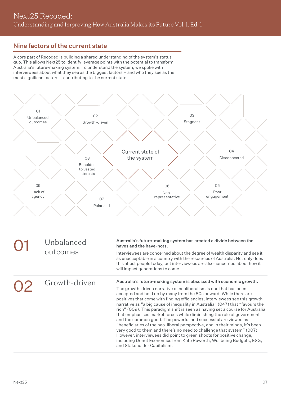#### <span id="page-6-0"></span>Nine factors of the current state

A core part of Recoded is building a shared understanding of the system's status quo. This allows Next25 to identify leverage points with the potential to transform Australia's future-making system. To understand the system, we spoke with interviewees about what they see as the biggest factors – and who they see as the most significant actors – contributing to the current state.



| Unbalanced<br>outcomes | Australia's future-making system has created a divide between the<br>haves and the have-nots.                                                                                                                                                                                                                                                                                                                                                                                                                                                                                                                                                                                                                                                                                                                                                                                |  |
|------------------------|------------------------------------------------------------------------------------------------------------------------------------------------------------------------------------------------------------------------------------------------------------------------------------------------------------------------------------------------------------------------------------------------------------------------------------------------------------------------------------------------------------------------------------------------------------------------------------------------------------------------------------------------------------------------------------------------------------------------------------------------------------------------------------------------------------------------------------------------------------------------------|--|
|                        | Interviewees are concerned about the degree of wealth disparity and see it<br>as unacceptable in a country with the resources of Australia. Not only does<br>this affect people today, but interviewees are also concerned about how it<br>will impact generations to come.                                                                                                                                                                                                                                                                                                                                                                                                                                                                                                                                                                                                  |  |
| Growth-driven          | Australia's future-making system is obsessed with economic growth.                                                                                                                                                                                                                                                                                                                                                                                                                                                                                                                                                                                                                                                                                                                                                                                                           |  |
|                        | The growth-driven narrative of neoliberalism is one that has been<br>accepted and held up by many from the 80s onward. While there are<br>positives that come with finding efficiencies, interviewees see this growth<br>narrative as "a big cause of inequality in Australia" (047) that "favours the<br>rich" (009). This paradigm shift is seen as having set a course for Australia<br>that emphasises market forces while diminishing the role of government<br>and the common good. The powerful and successful are viewed as<br>"beneficiaries of the neo-liberal perspective, and in their minds, it's been<br>very good to them and there's no need to challenge that system" (007).<br>However, interviewees did point to green shoots for positive change,<br>including Donut Economics from Kate Raworth, Wellbeing Budgets, ESG,<br>and Stakeholder Capitalism. |  |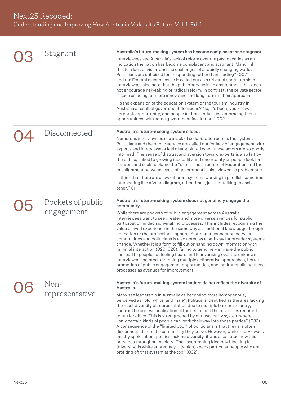| Stagnant                        | Australia's future-making system has become complacent and stagnant.<br>Interviewees see Australia's lack of reform over the past decades as an<br>indication the nation has become complacent and stagnant. Many link<br>this to a lack of vision and the challenges of a rapidly changing world.<br>Politicians are criticised for "responding rather than leading" (007)<br>and the Federal election cycle is called out as a driver of short-termism.<br>Interviewees also note that the public service is an environment that does<br>not encourage risk-taking or radical reform. In contrast, the private sector<br>is seen as being far more innovative and long-term in their approach.<br>"Is the expansion of the education system or the tourism industry in<br>Australia a result of government decisions? No, it's been, you know,<br>corporate opportunity, and people in those industries embracing those<br>opportunities, with some government facilitation." 002             |
|---------------------------------|-------------------------------------------------------------------------------------------------------------------------------------------------------------------------------------------------------------------------------------------------------------------------------------------------------------------------------------------------------------------------------------------------------------------------------------------------------------------------------------------------------------------------------------------------------------------------------------------------------------------------------------------------------------------------------------------------------------------------------------------------------------------------------------------------------------------------------------------------------------------------------------------------------------------------------------------------------------------------------------------------|
| Disconnected                    | Australia's future-making system siloed.<br>Numerous interviewees see a lack of collaboration across the system.<br>Politicians and the public service are called out for lack of engagement with<br>experts and interviewees feel disappointed when these actors are so poorly<br>informed. The sense of distrust and aversion toward experts is also felt by<br>the public, linked to growing inequality and uncertainty as people look for<br>answers and seek to blame the "elite". The structure of Federation and the<br>misalignment between levels of government is also viewed as problematic.<br>"I think that there are a few different systems working in parallel, sometimes<br>intersecting like a Venn diagram, other times, just not talking to each<br>other." O11                                                                                                                                                                                                             |
| Pockets of public<br>engagement | Australia's future-making system does not genuinely engage the<br>community.<br>While there are pockets of public engagement across Australia,<br>interviewees want to see greater and more diverse avenues for public<br>participation in decision-making processes. This includes recognising the<br>value of lived experience in the same way as traditional knowledge through<br>education or the professional sphere. A stronger connection between<br>communities and politicians is also noted as a pathway for broader systems<br>change. Whether it is a form to fill out or handing down information with<br>minimal interaction (020; 026), failing to genuinely engage the public<br>can lead to people not feeling heard and fears arising over the unknown.<br>Interviewees pointed to running multiple deliberative approaches, better<br>promotion of public engagement opportunities, and institutionalising these<br>processes as avenues for improvement.                    |
| Non-<br>representative          | Australia's future-making system leaders do not reflect the diversity of<br>Australia.<br>Many see leadership in Australia as becoming more homogenous,<br>perceived as "old, white, and male". Politics is identified as the area lacking<br>the most diversity of representation due to multiple barriers to entry,<br>such as the professionalisation of the sector and the resources required<br>to run for office. This is strengthened by our two-party system where<br>"only certain kinds of people can work their way into those parties" (032).<br>A consequence of the "limited pool" of politicians is that they are often<br>disconnected from the community they serve. However, while interviewees<br>mostly spoke about politics lacking diversity, it was also noted how this<br>pervades throughout society: The "overarching ideology blocking it<br>[diversity] is white supremacy  [which] keeps particular people who are<br>profiting off that system at the top" (032). |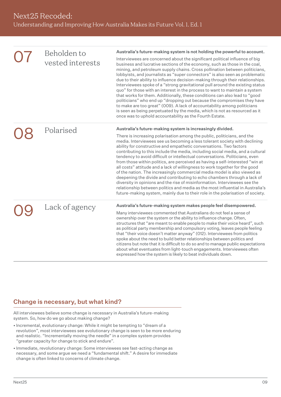<span id="page-8-0"></span>

| Beholden to<br>vested interests | Australia's future-making system is not holding the powerful to account.<br>Interviewees are concerned about the significant political influence of big<br>business and lucrative sections of the economy, such as those in the coal,<br>mining, and petroleum supply chains. Cross pollination between politicians,<br>lobbyists, and journalists as "super connectors" is also seen as problematic<br>due to their ability to influence decision-making through their relationships.<br>Interviewees spoke of a "strong gravitational pull around the existing status<br>quo" for those with an interest in the process to want to maintain a system<br>that works for them. Additionally, these conditions can also lead to "good<br>politicians" who end up "dropping out because the compromises they have<br>to make are too great" (009). A lack of accountability among politicians<br>is seen as being perpetuated by the media, which is not as resourced as it<br>once was to uphold accountability as the Fourth Estate. |
|---------------------------------|--------------------------------------------------------------------------------------------------------------------------------------------------------------------------------------------------------------------------------------------------------------------------------------------------------------------------------------------------------------------------------------------------------------------------------------------------------------------------------------------------------------------------------------------------------------------------------------------------------------------------------------------------------------------------------------------------------------------------------------------------------------------------------------------------------------------------------------------------------------------------------------------------------------------------------------------------------------------------------------------------------------------------------------|
| Polarised                       | Australia's future-making system is increasingly divided.<br>There is increasing polarisation among the public, politicians, and the<br>media. Interviewees see us becoming a less tolerant society with declining<br>ability for constructive and empathetic conversations. Two factors<br>contributing to this include the media, including social media, and a cultural<br>tendency to avoid difficult or intellectual conversations. Politicians, even<br>from those within politics, are perceived as having a self-interested "win at<br>all costs" attitude and a lack of willingness to work together for the good<br>of the nation. The increasingly commercial media model is also viewed as<br>deepening the divide and contributing to echo chambers through a lack of<br>diversity in opinions and the rise of misinformation. Interviewees see the<br>relationship between politics and media as the most influential in Australia's<br>future-making system, mainly due to their role in the polarisation of society. |
| Lack of agency                  | Australia's future-making system makes people feel disempowered.<br>Many interviewees commented that Australians do not feel a sense of<br>ownership over the system or the ability to influence change. Often,<br>structures that "are meant to enable people to make their voice heard", such<br>as political party membership and compulsory voting, leaves people feeling<br>that "their voice doesn't matter anyway" (012). Interviewees from politics<br>spoke about the need to build better relationships between politics and<br>citizens but note that it is difficult to do so and to manage public expectations<br>about what eventuates from light-touch engagements. Interviewees often<br>expressed how the system is likely to beat individuals down.                                                                                                                                                                                                                                                                |
|                                 |                                                                                                                                                                                                                                                                                                                                                                                                                                                                                                                                                                                                                                                                                                                                                                                                                                                                                                                                                                                                                                      |

#### Change is necessary, but what kind?

All interviewees believe some change is necessary in Australia's future-making system. So, how do we go about making change?

- Incremental, evolutionary change: While it might be tempting to "dream of a revolution", most interviewees see evolutionary change is seen to be more enduring and realistic. "Incrementally moving the needle" in a complex system provides "greater capacity for change to stick and endure".
- Immediate, revolutionary change: Some interviewees see fast-acting change as necessary, and some argue we need a "fundamental shift." A desire for immediate change is often linked to concerns of climate change.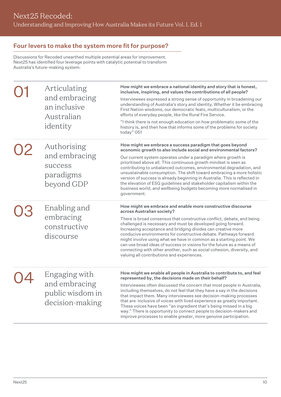#### <span id="page-9-0"></span>Four levers to make the system more fit for purpose?

Discussions for Recoded unearthed multiple potential areas for improvement. Next25 has identified four leverage points with catalytic potential to transform Australia's future-making system:

| Articulating<br>and embracing<br>an inclusive<br>Australian<br>identity | How might we embrace a national identity and story that is honest,<br>inclusive, inspiring, and values the contributions of all people?<br>Interviewees expressed a strong sense of opportunity in broadening our<br>understanding of Australia's story and identity. Whether it be embracing<br>First Nation wisdoms, our democratic feats, multiculturalism, or the<br>efforts of everyday people, like the Rural Fire Service.<br>"I think there is not enough education on how problematic some of the<br>history is, and then how that informs some of the problems for society<br>today" 051                                                           |
|-------------------------------------------------------------------------|--------------------------------------------------------------------------------------------------------------------------------------------------------------------------------------------------------------------------------------------------------------------------------------------------------------------------------------------------------------------------------------------------------------------------------------------------------------------------------------------------------------------------------------------------------------------------------------------------------------------------------------------------------------|
| Authorising<br>and embracing<br>success<br>paradigms<br>beyond GDP      | How might we embrace a success paradigm that goes beyond<br>economic growth to also include social and environmental factors?<br>Our current system operates under a paradigm where growth is<br>prioritised above all. This continuous growth mindset is seen as<br>contributing to unbalanced outcomes, environmental degradation, and<br>unsustainable consumption. The shift toward embracing a more holistic<br>version of success is already beginning in Australia. This is reflected in<br>the elevation of ESG guidelines and stakeholder capitalism within the<br>business world, and wellbeing budgets becoming more normalised in<br>government. |
| Enabling and<br>embracing<br>constructive<br>discourse                  | How might we embrace and enable more constructive discourse<br>across Australian society?<br>There is broad consensus that constructive conflict, debate, and being<br>challenged is necessary and must be developed going forward.<br>Increasing acceptance and bridging divides can creative more<br>conducive environments for constructive debate. Pathways forward<br>might involve using what we have in common as a starting point. We<br>can use broad ideas of success or visions for the future as a means of<br>connecting with other another, such as social cohesion, diversity, and<br>valuing all contributions and experiences.              |
| Engaging with<br>and embracing<br>public wisdom in<br>decision-making   | How might we enable all people in Australia to contribute to, and feel<br>represented by, the decisions made on their behalf?<br>Interviewees often discussed the concern that most people in Australia,<br>including themselves, do not feel that they have a say in the decisions<br>that impact them. Many interviewees see decision-making processes<br>that are inclusive of voices with lived experience as greatly important.<br>These voices have been "an ingredient that's being missed in a big<br>way." There is opportunity to connect people to decision-makers and                                                                            |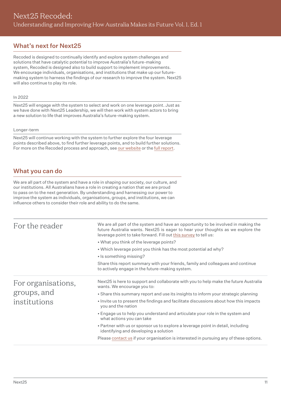#### <span id="page-10-0"></span>What's next for Next25

Recoded is designed to continually identify and explore system challenges and solutions that have catalytic potential to improve Australia's future-making system, Recoded is designed also to build support to implement improvements. We encourage individuals, organisations, and institutions that make up our futuremaking system to harness the findings of our research to improve the system. Next25 will also continue to play its role.

#### In 2022

Next25 will engage with the system to select and work on one leverage point. Just as we have done with Next25 Leadership, we will then work with system actors to bring a new solution to life that improves Australia's future-making system.

#### Longer-term

Next25 will continue working with the system to further explore the four leverage points described above, to find further leverage points, and to build further solutions. For more on the Recoded process and approach, see [our website](https://www.next25.org.au/recoded) or the [full report.](http://files.next25.org.au/Next25_Recoded_Report_V1E1.pdf)

#### What you can do

We are all part of the system and have a role in shaping our society, our culture, and our institutions. All Australians have a role in creating a nation that we are proud to pass on to the next generation. By understanding and harnessing our power to improve the system as individuals, organisations, groups, and institutions, we can influence others to consider their role and ability to do the same.

| For the reader                                    | We are all part of the system and have an opportunity to be involved in making the<br>future Australia wants. Next25 is eager to hear your thoughts as we explore the<br>leverage point to take forward. Fill out this survey to tell us:<br>. What you think of the leverage points?<br>• Which leverage point you think has the most potential ad why?<br>• Is something missing?<br>Share this report summary with your friends, family and colleagues and continue<br>to actively engage in the future-making system. |
|---------------------------------------------------|---------------------------------------------------------------------------------------------------------------------------------------------------------------------------------------------------------------------------------------------------------------------------------------------------------------------------------------------------------------------------------------------------------------------------------------------------------------------------------------------------------------------------|
| For organisations,<br>groups, and<br>institutions | Next25 is here to support and collaborate with you to help make the future Australia<br>wants. We encourage you to:<br>• Share this summary report and use its insights to inform your strategic planning<br>. Invite us to present the findings and facilitate discussions about how this impacts<br>you and the nation<br>• Engage us to help you understand and articulate your role in the system and<br>what actions you can take                                                                                    |
|                                                   | • Partner with us or sponsor us to explore a leverage point in detail, including<br>identifying and developing a solution<br>Please contact us if your organisation is interested in pursuing any of these options.                                                                                                                                                                                                                                                                                                       |